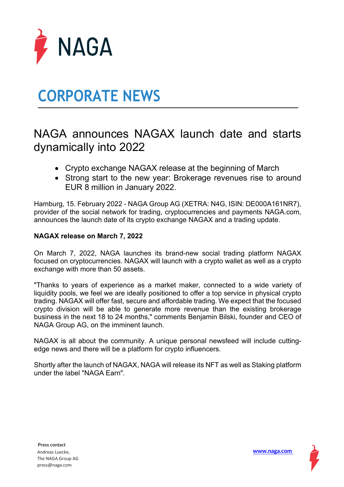

# **CORPORATE NEWS**

### NAGA announces NAGAX launch date and starts dynamically into 2022

- Crypto exchange NAGAX release at the beginning of March
- Strong start to the new year: Brokerage revenues rise to around EUR 8 million in January 2022.

Hamburg, 15. February 2022 - NAGA Group AG (XETRA: N4G, ISIN: DE000A161NR7), provider of the social network for trading, cryptocurrencies and payments NAGA.com, announces the launch date of its crypto exchange NAGAX and a trading update.

### **NAGAX release on March 7, 2022**

On March 7, 2022, NAGA launches its brand-new social trading platform NAGAX focused on cryptocurrencies. NAGAX will launch with a crypto wallet as well as a crypto exchange with more than 50 assets.

"Thanks to years of experience as a market maker, connected to a wide variety of liquidity pools, we feel we are ideally positioned to offer a top service in physical crypto trading. NAGAX will offer fast, secure and affordable trading. We expect that the focused crypto division will be able to generate more revenue than the existing brokerage business in the next 18 to 24 months," comments Benjamin Bilski, founder and CEO of NAGA Group AG, on the imminent launch.

NAGAX is all about the community. A unique personal newsfeed will include cuttingedge news and there will be a platform for crypto influencers.

Shortly after the launch of NAGAX, NAGA will release its NFT as well as Staking platform under the label "NAGA Earn".

**[www.naga.com](about:blank)**